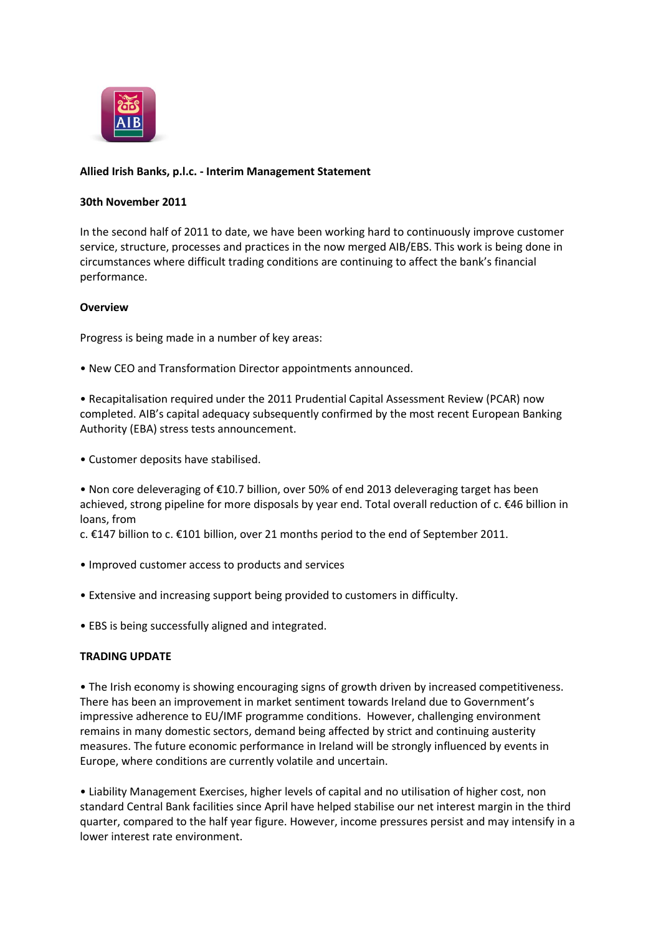

# **Allied Irish Banks, p.l.c. - Interim Management Statement**

#### **30th November 2011**

In the second half of 2011 to date, we have been working hard to continuously improve customer service, structure, processes and practices in the now merged AIB/EBS. This work is being done in circumstances where difficult trading conditions are continuing to affect the bank's financial performance.

#### **Overview**

Progress is being made in a number of key areas:

• New CEO and Transformation Director appointments announced.

• Recapitalisation required under the 2011 Prudential Capital Assessment Review (PCAR) now completed. AIB's capital adequacy subsequently confirmed by the most recent European Banking Authority (EBA) stress tests announcement.

• Customer deposits have stabilised.

• Non core deleveraging of €10.7 billion, over 50% of end 2013 deleveraging target has been achieved, strong pipeline for more disposals by year end. Total overall reduction of c. €46 billion in loans, from

c. €147 billion to c. €101 billion, over 21 months period to the end of September 2011.

- Improved customer access to products and services
- Extensive and increasing support being provided to customers in difficulty.
- EBS is being successfully aligned and integrated.

## **TRADING UPDATE**

• The Irish economy is showing encouraging signs of growth driven by increased competitiveness. There has been an improvement in market sentiment towards Ireland due to Government's impressive adherence to EU/IMF programme conditions. However, challenging environment remains in many domestic sectors, demand being affected by strict and continuing austerity measures. The future economic performance in Ireland will be strongly influenced by events in Europe, where conditions are currently volatile and uncertain.

• Liability Management Exercises, higher levels of capital and no utilisation of higher cost, non standard Central Bank facilities since April have helped stabilise our net interest margin in the third quarter, compared to the half year figure. However, income pressures persist and may intensify in a lower interest rate environment.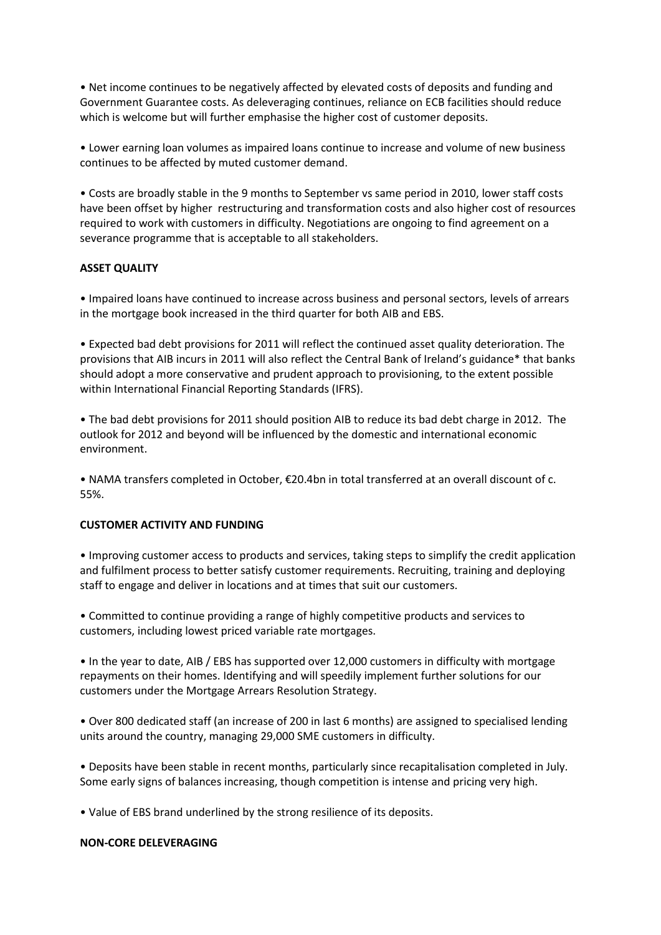• Net income continues to be negatively affected by elevated costs of deposits and funding and Government Guarantee costs. As deleveraging continues, reliance on ECB facilities should reduce which is welcome but will further emphasise the higher cost of customer deposits.

• Lower earning loan volumes as impaired loans continue to increase and volume of new business continues to be affected by muted customer demand.

• Costs are broadly stable in the 9 months to September vs same period in 2010, lower staff costs have been offset by higher restructuring and transformation costs and also higher cost of resources required to work with customers in difficulty. Negotiations are ongoing to find agreement on a severance programme that is acceptable to all stakeholders.

# **ASSET QUALITY**

• Impaired loans have continued to increase across business and personal sectors, levels of arrears in the mortgage book increased in the third quarter for both AIB and EBS.

• Expected bad debt provisions for 2011 will reflect the continued asset quality deterioration. The provisions that AIB incurs in 2011 will also reflect the Central Bank of Ireland's guidance\* that banks should adopt a more conservative and prudent approach to provisioning, to the extent possible within International Financial Reporting Standards (IFRS).

• The bad debt provisions for 2011 should position AIB to reduce its bad debt charge in 2012. The outlook for 2012 and beyond will be influenced by the domestic and international economic environment.

• NAMA transfers completed in October, €20.4bn in total transferred at an overall discount of c. 55%.

## **CUSTOMER ACTIVITY AND FUNDING**

• Improving customer access to products and services, taking steps to simplify the credit application and fulfilment process to better satisfy customer requirements. Recruiting, training and deploying staff to engage and deliver in locations and at times that suit our customers.

• Committed to continue providing a range of highly competitive products and services to customers, including lowest priced variable rate mortgages.

• In the year to date, AIB / EBS has supported over 12,000 customers in difficulty with mortgage repayments on their homes. Identifying and will speedily implement further solutions for our customers under the Mortgage Arrears Resolution Strategy.

• Over 800 dedicated staff (an increase of 200 in last 6 months) are assigned to specialised lending units around the country, managing 29,000 SME customers in difficulty.

• Deposits have been stable in recent months, particularly since recapitalisation completed in July. Some early signs of balances increasing, though competition is intense and pricing very high.

• Value of EBS brand underlined by the strong resilience of its deposits.

## **NON-CORE DELEVERAGING**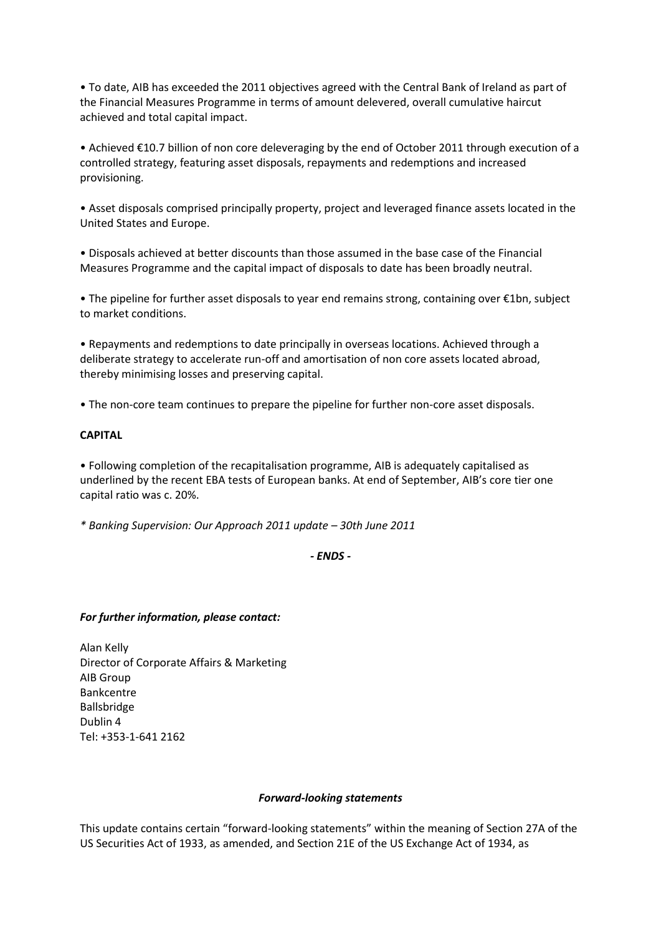• To date, AIB has exceeded the 2011 objectives agreed with the Central Bank of Ireland as part of the Financial Measures Programme in terms of amount delevered, overall cumulative haircut achieved and total capital impact.

• Achieved €10.7 billion of non core deleveraging by the end of October 2011 through execution of a controlled strategy, featuring asset disposals, repayments and redemptions and increased provisioning.

• Asset disposals comprised principally property, project and leveraged finance assets located in the United States and Europe.

• Disposals achieved at better discounts than those assumed in the base case of the Financial Measures Programme and the capital impact of disposals to date has been broadly neutral.

• The pipeline for further asset disposals to year end remains strong, containing over €1bn, subject to market conditions.

• Repayments and redemptions to date principally in overseas locations. Achieved through a deliberate strategy to accelerate run-off and amortisation of non core assets located abroad, thereby minimising losses and preserving capital.

• The non-core team continues to prepare the pipeline for further non-core asset disposals.

# **CAPITAL**

• Following completion of the recapitalisation programme, AIB is adequately capitalised as underlined by the recent EBA tests of European banks. At end of September, AIB's core tier one capital ratio was c. 20%.

*\* Banking Supervision: Our Approach 2011 update – 30th June 2011*

*- ENDS -*

## *For further information, please contact:*

Alan Kelly Director of Corporate Affairs & Marketing AIB Group Bankcentre Ballsbridge Dublin 4 Tel: +353-1-641 2162

#### *Forward-looking statements*

This update contains certain "forward-looking statements" within the meaning of Section 27A of the US Securities Act of 1933, as amended, and Section 21E of the US Exchange Act of 1934, as